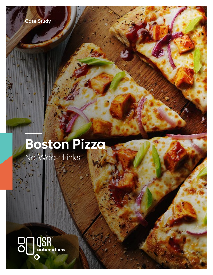

# **Boston Pizza** No Weak Links

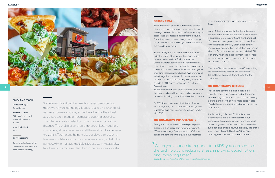

Sometimes, it's difficult to quantify or even describe how much we rely on technology. It doesn't take a historian to tell us we've come a long way since the advent of the wheel, as we see technology emerging and evolving around us. The internet creates instant communication, unbound by distance. The proliferation of smartphones, literal handheld computers, affords us access to all the world's info whenever we want it. Technology helps make our days a bit easier, at leisure and while we work. For managers in any job field, the connectivity to manage multiple sites assists immeasurably. Nowhere is this more evident than in the restaurant industry.

#### THE CHALLENGE

To find a technology partner to weave into their long-term ecosystem and strategy.

#### RESTAURANT PROFILE

#### Restaurant Type: Casual Dining

Number of Units: 400+ locations in North

America (Canada, US, Mexico)

Year Established: 1964

#### BOSTON PIZZA

Boston Pizza is Canada's number one casual dining chain, and it spreads from coast to coast. Having operated for more than 50 years, they've established 396 restaurants across the country. Each site presents three dining concepts: a sports bar, full-service casual dining, and a robust offpremise delivery menu.

Back in 2007, they sensed the direction of the industry, ditched their paper ticket and printer system, and opted for QSR Automations' ConnectSmart Kitchen system. For a massive chain, it was a slow and deliberate migration, but one which proved invaluable for weathering the changing restaurant landscape. "We were trying to knit together, strategically, an underpinning architecture for the future long term," says Vice President of Business Technology & Systems, Cavin Green.

He notes the changing preferences of consumers, the increased need for speed and convenience as well as in being dynamic and flexible to trends.

II<br>When you change from paper to a KDS, you can see that<br>the technology is reducing stress, improving coordination, When you change from paper to a KDS, you can see that and improving time *Cavin Green, Vice President of Business Technology & Systems*

By 2016, they'd continued their technological initiatives, rolling out ConnectSmart Host, QSR's Guest Management Solution, to work in tandem with CSK.

#### THE QUALITATIVE IMPROVEMENTS

Going from paper to a kitchen display system presents a significant shift for any restaurant. "When you change from paper to a KDS, you can see that the technology is reducing stress, improving coordination, and improving time," says Green.

Many of the improvements that he notices are intangible and measured by what is not present. In an integrated restaurant, with front and backof-house technologies connected, orders flow to the kitchen seamlessly. Each station stays conscious of one another; the kitchen staff knows when an 8-top has just walked in, and the FOH staff know when the steak's almost ready. There's less room for error and miscommunication, and the kitchen is quieter.

"The benefits are qualitative," says Green, noting the improvements to the work environment. "It's better for everyone, from the staff to the customers."

#### THE QUANTITATIVE CHANGES

That's not to say there aren't measurable benefits, though. Technology and automation incrementally shave time off each order, allowing more table turns, which nets more sales. It also affords them more visibility, and opportunities to serve more.

"Implementing CSK and CS Host has been a tremendous enabler in modernizing our technology ecosystem, for both team members as well as guests. We've been able to maximize our reach and enable new functionality, like online reservations through DineTime," Says Green. Typically, those with an automated kitchen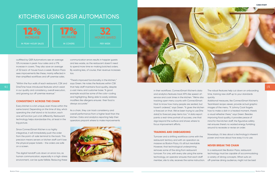#### **CASE STUDY CASE STUDY**

| i,                       |
|--------------------------|
| 5Ò                       |
| $\overline{\phantom{a}}$ |
| $\overline{\phantom{a}}$ |
| эn                       |
| e                        |
| $\ddot{\phantom{0}}$     |
|                          |
|                          |

## | 5



## KITCHENS USING QSR AUTOMATIONS

communication errors results in happier guests and less waste, as the restaurant doesn't need to spend more time re-making botched orders. By wasting less, of course, their revenue increases too.

"There's improved functionality in the kitchen," says Green. He notes the features within CSK that help staff maintains food quality, despite a vast menu and customer base. "A good example would be some of the color-coding and highlighting. Being able to easily address modifiers like allergens ensures their food is always accurate."

As a chain, they can track consistency and overall performance from a higher level than the kitchen. Data and analytics reporting help their operators pinpoint where to make improvements





outfitted by QSR Automations see an average 12% increase in peak-hour sales and a 17% increase in covers. They also save an average of 32 back-of-house hours a week. Boston Pizza sees improvements like these, mainly reflected in their simplified workflows and off-premise sales.

"Within the four walls of each restaurant, CSK and DineTime have introduced features which assist in our quality and consistency, overall execution, and growing our off-premise revenue."

### CONSISTENCY ACROSS THE CHAIN

Every kitchen is a bit unique, even those within the same brand. Depending on the time of day, who's operating the chef stand or its location, each one will function just a bit differently. Restaurant technology helps standardize this, at least in the big picture.

Since ConnectSmart Kitchen is so highly integrative, it will immediately push the order from the point-of-sale terminal to the back. This precision means servers or kitchen staff can't lose the physical paper tickets - the orders are safe on a screen.

The digital handoff cuts down on errors too, as human communication, especially in a high-stress environment, can be quite fallible. Reducing these

#### TRAINING AND ONBOARDING

in their workflows. ConnectSmart Kitchen's data and analytics features track KPI's like speed-ofservice and cook times in the kitchen. "We're als tracking open menu counts with ConnectSmart Host to know how many people are seated, but haven't ordered," says Green. "It gives the kitche a forecast on that. We've been trying to use [the data] to forecast prep items too." A data report paints a real-time portrait of success, one that digs beyond the surface and shows where to focus improvement efforts. The robust features help cut down on onboarding time, training new staff up to your standards quickly. Additional measures, like ConnectSmart Kitchen's TeamAssist recipe viewer, provide actual graphic images of the menu. "If Johnny Cook forgets how to make a dish in a heated moment, there's a visual refresher there," says Green. Besides improving food quality, it provides peace of mind for the kitchen staff; the figurative safety net ensures there's no wasted energy fumbling around to recreate or revise an order.

Turnover and a shifting workforce come with the restaurant territory and with an operation as massive as Boston Pizza, it's all but inevitable. However, that technological underpinning removes some of the sting from restaurant turnover. For one, with every site using the same technology, an operator ensures that each staff member, site to site, receives the same instruction. Nowadays, it's less about a technology's inherent power and more about how easy it is to use. NEVER BREAK THE CHAIN In a restaurant like Boston Pizza, restaurant technology must be capable of accommodating a variety of dining concepts. What suits an off-premise dining audience, might not be best